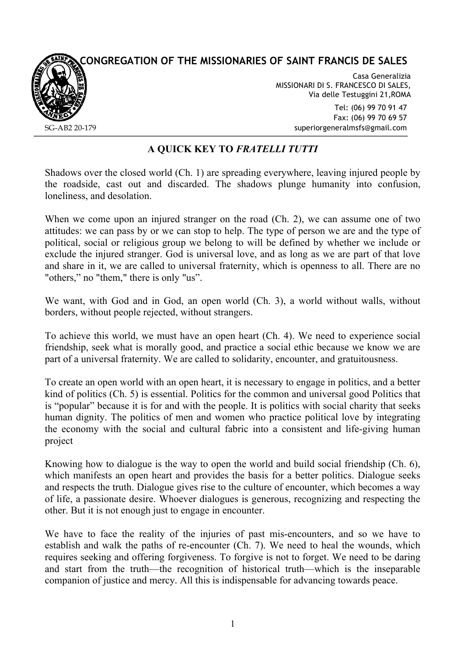## **CONGREGATION OF THE MISSIONARIES OF SAINT FRANCIS DE SALES**



Casa Generalizia MISSIONARI DI S. FRANCESCO DI SALES, Via delle Testuggini 21,ROMA

> Tel: (06) 99 70 91 47 Fax: (06) 99 70 69 57 superiorgeneralmsfs@gmail.com

## **A QUICK KEY TO** *FRATELLI TUTTI*

Shadows over the closed world (Ch. 1) are spreading everywhere, leaving injured people by the roadside, cast out and discarded. The shadows plunge humanity into confusion, loneliness, and desolation.

When we come upon an injured stranger on the road (Ch. 2), we can assume one of two attitudes: we can pass by or we can stop to help. The type of person we are and the type of political, social or religious group we belong to will be defined by whether we include or exclude the injured stranger. God is universal love, and as long as we are part of that love and share in it, we are called to universal fraternity, which is openness to all. There are no "others," no "them," there is only "us".

We want, with God and in God, an open world (Ch. 3), a world without walls, without borders, without people rejected, without strangers.

To achieve this world, we must have an open heart (Ch. 4). We need to experience social friendship, seek what is morally good, and practice a social ethic because we know we are part of a universal fraternity. We are called to solidarity, encounter, and gratuitousness.

To create an open world with an open heart, it is necessary to engage in politics, and a better kind of politics (Ch. 5) is essential. Politics for the common and universal good Politics that is "popular" because it is for and with the people. It is politics with social charity that seeks human dignity. The politics of men and women who practice political love by integrating the economy with the social and cultural fabric into a consistent and life-giving human project

Knowing how to dialogue is the way to open the world and build social friendship (Ch. 6), which manifests an open heart and provides the basis for a better politics. Dialogue seeks and respects the truth. Dialogue gives rise to the culture of encounter, which becomes a way of life, a passionate desire. Whoever dialogues is generous, recognizing and respecting the other. But it is not enough just to engage in encounter.

We have to face the reality of the injuries of past mis-encounters, and so we have to establish and walk the paths of re-encounter (Ch. 7). We need to heal the wounds, which requires seeking and offering forgiveness. To forgive is not to forget. We need to be daring and start from the truth—the recognition of historical truth—which is the inseparable companion of justice and mercy. All this is indispensable for advancing towards peace.